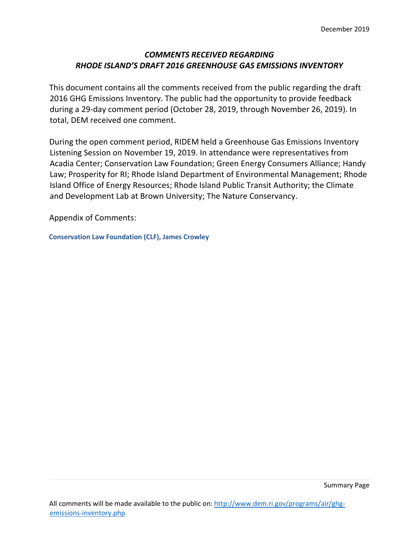# *COMMENTS RECEIVED REGARDING RHODE ISLAND'S DRAFT 2016 GREENHOUSE GAS EMISSIONS INVENTORY*

This document contains all the comments received from the public regarding the draft 2016 GHG Emissions Inventory. The public had the opportunity to provide feedback during a 29-day comment period (October 28, 2019, through November 26, 2019). In total, DEM received one comment.

During the open comment period, RIDEM held a Greenhouse Gas Emissions Inventory Listening Session on November 19, 2019. In attendance were representatives from Acadia Center; Conservation Law Foundation; Green Energy Consumers Alliance; Handy Law; Prosperity for RI; Rhode Island Department of Environmental Management; Rhode Island Office of Energy Resources; Rhode Island Public Transit Authority; the Climate and Development Lab at Brown University; The Nature Conservancy.

Appendix of Comments:

**Conservation Law Foundation (CLF), James Crowley**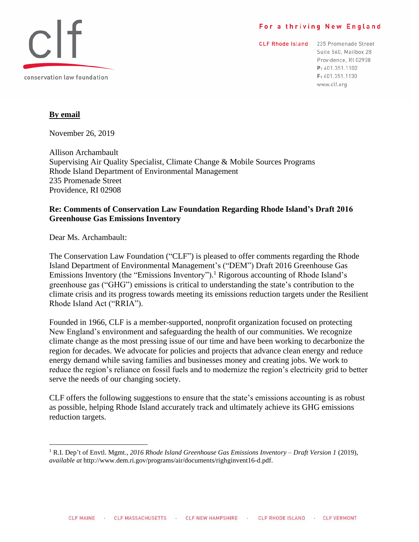#### For a thriving New England



CLF Rhode Island 235 Promenade Street Suite 560, Mailbox 28 Providence, RI 02908 P: 401.351.1102 F: 401.351.1130 www.clf.org

## **By email**

November 26, 2019

Allison Archambault Supervising Air Quality Specialist, Climate Change & Mobile Sources Programs Rhode Island Department of Environmental Management 235 Promenade Street Providence, RI 02908

#### **Re: Comments of Conservation Law Foundation Regarding Rhode Island's Draft 2016 Greenhouse Gas Emissions Inventory**

Dear Ms. Archambault:

The Conservation Law Foundation ("CLF") is pleased to offer comments regarding the Rhode Island Department of Environmental Management's ("DEM") Draft 2016 Greenhouse Gas Emissions Inventory (the "Emissions Inventory").<sup>1</sup> Rigorous accounting of Rhode Island's greenhouse gas ("GHG") emissions is critical to understanding the state's contribution to the climate crisis and its progress towards meeting its emissions reduction targets under the Resilient Rhode Island Act ("RRIA").

Founded in 1966, CLF is a member-supported, nonprofit organization focused on protecting New England's environment and safeguarding the health of our communities. We recognize climate change as the most pressing issue of our time and have been working to decarbonize the region for decades. We advocate for policies and projects that advance clean energy and reduce energy demand while saving families and businesses money and creating jobs. We work to reduce the region's reliance on fossil fuels and to modernize the region's electricity grid to better serve the needs of our changing society.

CLF offers the following suggestions to ensure that the state's emissions accounting is as robust as possible, helping Rhode Island accurately track and ultimately achieve its GHG emissions reduction targets.

<sup>1</sup> R.I. Dep't of Envtl. Mgmt., *2016 Rhode Island Greenhouse Gas Emissions Inventory – Draft Version 1* (2019), *available at* http://www.dem.ri.gov/programs/air/documents/righginvent16-d.pdf.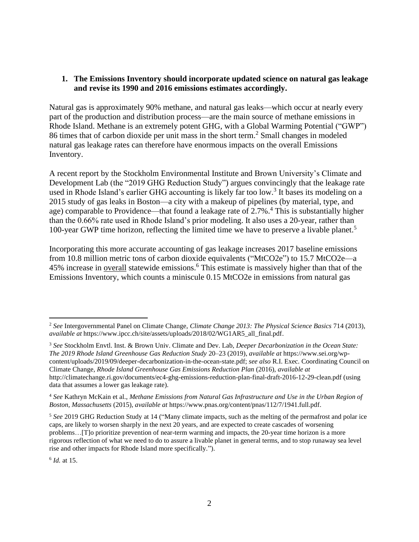#### **1. The Emissions Inventory should incorporate updated science on natural gas leakage and revise its 1990 and 2016 emissions estimates accordingly.**

Natural gas is approximately 90% methane, and natural gas leaks—which occur at nearly every part of the production and distribution process—are the main source of methane emissions in Rhode Island. Methane is an extremely potent GHG, with a Global Warming Potential ("GWP") 86 times that of carbon dioxide per unit mass in the short term.<sup>2</sup> Small changes in modeled natural gas leakage rates can therefore have enormous impacts on the overall Emissions Inventory.

A recent report by the Stockholm Environmental Institute and Brown University's Climate and Development Lab (the "2019 GHG Reduction Study") argues convincingly that the leakage rate used in Rhode Island's earlier GHG accounting is likely far too low.<sup>3</sup> It bases its modeling on a 2015 study of gas leaks in Boston—a city with a makeup of pipelines (by material, type, and age) comparable to Providence—that found a leakage rate of 2.7%.<sup>4</sup> This is substantially higher than the 0.66% rate used in Rhode Island's prior modeling. It also uses a 20-year, rather than 100-year GWP time horizon, reflecting the limited time we have to preserve a livable planet.<sup>5</sup>

Incorporating this more accurate accounting of gas leakage increases 2017 baseline emissions from 10.8 million metric tons of carbon dioxide equivalents ("MtCO2e") to 15.7 MtCO2e—a 45% increase in <u>overall</u> statewide emissions.<sup>6</sup> This estimate is massively higher than that of the Emissions Inventory, which counts a miniscule 0.15 MtCO2e in emissions from natural gas

6 *Id.* at 15.

<sup>2</sup> *See* Intergovernmental Panel on Climate Change, *Climate Change 2013: The Physical Science Basics* 714 (2013), *available at* https://www.ipcc.ch/site/assets/uploads/2018/02/WG1AR5\_all\_final.pdf.

<sup>3</sup> *See* Stockholm Envtl. Inst. & Brown Univ. Climate and Dev. Lab, *Deeper Decarbonization in the Ocean State: The 2019 Rhode Island Greenhouse Gas Reduction Study* 20–23 (2019), *available at* https://www.sei.org/wpcontent/uploads/2019/09/deeper-decarbonization-in-the-ocean-state.pdf; *see also* R.I. Exec. Coordinating Council on Climate Change, *Rhode Island Greenhouse Gas Emissions Reduction Plan* (2016), *available at* http://climatechange.ri.gov/documents/ec4-ghg-emissions-reduction-plan-final-draft-2016-12-29-clean.pdf (using data that assumes a lower gas leakage rate).

<sup>4</sup> *See* Kathryn McKain et al., *Methane Emissions from Natural Gas Infrastructure and Use in the Urban Region of Boston, Massachusetts* (2015), *available at* https://www.pnas.org/content/pnas/112/7/1941.full.pdf.

<sup>5</sup> *See* 2019 GHG Reduction Study at 14 ("Many climate impacts, such as the melting of the permafrost and polar ice caps, are likely to worsen sharply in the next 20 years, and are expected to create cascades of worsening problems…[T]o prioritize prevention of near-term warming and impacts, the 20-year time horizon is a more rigorous reflection of what we need to do to assure a livable planet in general terms, and to stop runaway sea level rise and other impacts for Rhode Island more specifically.").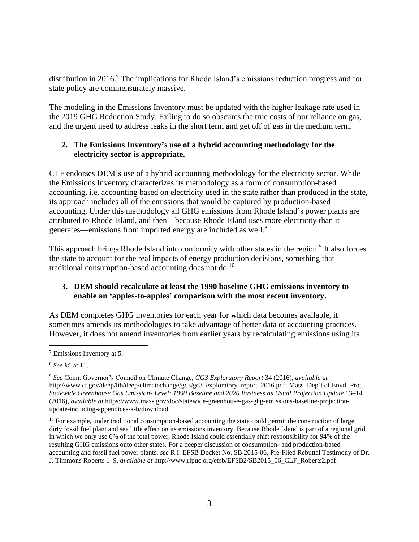distribution in 2016.<sup>7</sup> The implications for Rhode Island's emissions reduction progress and for state policy are commensurately massive.

The modeling in the Emissions Inventory must be updated with the higher leakage rate used in the 2019 GHG Reduction Study. Failing to do so obscures the true costs of our reliance on gas, and the urgent need to address leaks in the short term and get off of gas in the medium term.

# **2. The Emissions Inventory's use of a hybrid accounting methodology for the electricity sector is appropriate.**

CLF endorses DEM's use of a hybrid accounting methodology for the electricity sector. While the Emissions Inventory characterizes its methodology as a form of consumption-based accounting, i.e. accounting based on electricity used in the state rather than produced in the state, its approach includes all of the emissions that would be captured by production-based accounting. Under this methodology all GHG emissions from Rhode Island's power plants are attributed to Rhode Island, and then—because Rhode Island uses more electricity than it generates—emissions from imported energy are included as well.<sup>8</sup>

This approach brings Rhode Island into conformity with other states in the region.<sup>9</sup> It also forces the state to account for the real impacts of energy production decisions, something that traditional consumption-based accounting does not do.<sup>10</sup>

# **3. DEM should recalculate at least the 1990 baseline GHG emissions inventory to enable an 'apples-to-apples' comparison with the most recent inventory.**

As DEM completes GHG inventories for each year for which data becomes available, it sometimes amends its methodologies to take advantage of better data or accounting practices. However, it does not amend inventories from earlier years by recalculating emissions using its

<sup>7</sup> Emissions Inventory at 5.

<sup>8</sup> *See id.* at 11.

<sup>9</sup> *See* Conn. Governor's Council on Climate Change, *CG3 Exploratory Report* 34 (2016), *available at* http://www.ct.gov/deep/lib/deep/climatechange/gc3/gc3\_exploratory\_report\_2016.pdf; Mass. Dep't of Envtl. Prot., *Statewide Greenhouse Gas Emissions Level: 1990 Baseline and 2020 Business as Usual Projection Update* 13–14 (2016), *available at* https://www.mass.gov/doc/statewide-greenhouse-gas-ghg-emissions-baseline-projectionupdate-including-appendices-a-b/download.

<sup>&</sup>lt;sup>10</sup> For example, under traditional consumption-based accounting the state could permit the construction of large, dirty fossil fuel plant and see little effect on its emissions inventory. Because Rhode Island is part of a regional grid in which we only use 6% of the total power, Rhode Island could essentially shift responsibility for 94% of the resulting GHG emissions onto other states. For a deeper discussion of consumption- and production-based accounting and fossil fuel power plants, *see* R.I. EFSB Docket No. SB 2015-06, Pre-Filed Rebuttal Testimony of Dr. J. Timmons Roberts 1–9, *available at* http://www.ripuc.org/efsb/EFSB2/SB2015\_06\_CLF\_Roberts2.pdf.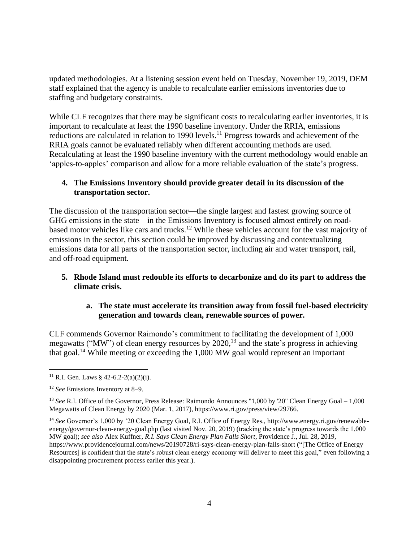updated methodologies. At a listening session event held on Tuesday, November 19, 2019, DEM staff explained that the agency is unable to recalculate earlier emissions inventories due to staffing and budgetary constraints.

While CLF recognizes that there may be significant costs to recalculating earlier inventories, it is important to recalculate at least the 1990 baseline inventory. Under the RRIA, emissions reductions are calculated in relation to 1990 levels.<sup>11</sup> Progress towards and achievement of the RRIA goals cannot be evaluated reliably when different accounting methods are used. Recalculating at least the 1990 baseline inventory with the current methodology would enable an 'apples-to-apples' comparison and allow for a more reliable evaluation of the state's progress.

## **4. The Emissions Inventory should provide greater detail in its discussion of the transportation sector.**

The discussion of the transportation sector—the single largest and fastest growing source of GHG emissions in the state—in the Emissions Inventory is focused almost entirely on roadbased motor vehicles like cars and trucks.<sup>12</sup> While these vehicles account for the vast majority of emissions in the sector, this section could be improved by discussing and contextualizing emissions data for all parts of the transportation sector, including air and water transport, rail, and off-road equipment.

# **5. Rhode Island must redouble its efforts to decarbonize and do its part to address the climate crisis.**

#### **a. The state must accelerate its transition away from fossil fuel-based electricity generation and towards clean, renewable sources of power.**

CLF commends Governor Raimondo's commitment to facilitating the development of 1,000 megawatts ("MW") of clean energy resources by 2020,<sup>13</sup> and the state's progress in achieving that goal.<sup>14</sup> While meeting or exceeding the 1,000 MW goal would represent an important

<sup>14</sup> *See* Governor's 1,000 by '20 Clean Energy Goal, R.I. Office of Energy Res., http://www.energy.ri.gov/renewableenergy/governor-clean-energy-goal.php (last visited Nov. 20, 2019) (tracking the state's progress towards the 1,000 MW goal); *see also* Alex Kuffner, *R.I. Says Clean Energy Plan Falls Short*, Providence J., Jul. 28, 2019, https://www.providencejournal.com/news/20190728/ri-says-clean-energy-plan-falls-short ("[The Office of Energy

Resources] is confident that the state's robust clean energy economy will deliver to meet this goal," even following a disappointing procurement process earlier this year.).

<sup>&</sup>lt;sup>11</sup> R.I. Gen. Laws § 42-6.2-2(a)(2)(i).

<sup>12</sup> *See* Emissions Inventory at 8–9.

<sup>&</sup>lt;sup>13</sup> *See* R.I. Office of the Governor, Press Release: Raimondo Announces "1,000 by '20" Clean Energy Goal – 1,000 Megawatts of Clean Energy by 2020 (Mar. 1, 2017), https://www.ri.gov/press/view/29766.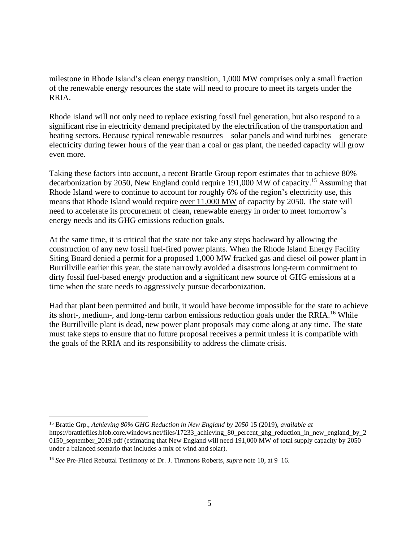milestone in Rhode Island's clean energy transition, 1,000 MW comprises only a small fraction of the renewable energy resources the state will need to procure to meet its targets under the RRIA.

Rhode Island will not only need to replace existing fossil fuel generation, but also respond to a significant rise in electricity demand precipitated by the electrification of the transportation and heating sectors. Because typical renewable resources—solar panels and wind turbines—generate electricity during fewer hours of the year than a coal or gas plant, the needed capacity will grow even more.

Taking these factors into account, a recent Brattle Group report estimates that to achieve 80% decarbonization by 2050, New England could require 191,000 MW of capacity.<sup>15</sup> Assuming that Rhode Island were to continue to account for roughly 6% of the region's electricity use, this means that Rhode Island would require over 11,000 MW of capacity by 2050. The state will need to accelerate its procurement of clean, renewable energy in order to meet tomorrow's energy needs and its GHG emissions reduction goals.

At the same time, it is critical that the state not take any steps backward by allowing the construction of any new fossil fuel-fired power plants. When the Rhode Island Energy Facility Siting Board denied a permit for a proposed 1,000 MW fracked gas and diesel oil power plant in Burrillville earlier this year, the state narrowly avoided a disastrous long-term commitment to dirty fossil fuel-based energy production and a significant new source of GHG emissions at a time when the state needs to aggressively pursue decarbonization.

Had that plant been permitted and built, it would have become impossible for the state to achieve its short-, medium-, and long-term carbon emissions reduction goals under the RRIA.<sup>16</sup> While the Burrillville plant is dead, new power plant proposals may come along at any time. The state must take steps to ensure that no future proposal receives a permit unless it is compatible with the goals of the RRIA and its responsibility to address the climate crisis.

<sup>15</sup> Brattle Grp., *Achieving 80% GHG Reduction in New England by 2050* 15 (2019), *available at*

https://brattlefiles.blob.core.windows.net/files/17233\_achieving\_80\_percent\_ghg\_reduction\_in\_new\_england\_by\_2 0150\_september\_2019.pdf (estimating that New England will need 191,000 MW of total supply capacity by 2050 under a balanced scenario that includes a mix of wind and solar).

<sup>16</sup> *See* Pre-Filed Rebuttal Testimony of Dr. J. Timmons Roberts, *supra* note 10, at 9–16.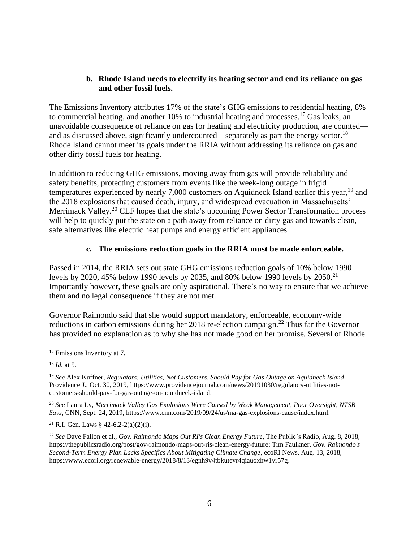#### **b. Rhode Island needs to electrify its heating sector and end its reliance on gas and other fossil fuels.**

The Emissions Inventory attributes 17% of the state's GHG emissions to residential heating, 8% to commercial heating, and another 10% to industrial heating and processes.<sup>17</sup> Gas leaks, an unavoidable consequence of reliance on gas for heating and electricity production, are counted and as discussed above, significantly undercounted—separately as part the energy sector.<sup>18</sup> Rhode Island cannot meet its goals under the RRIA without addressing its reliance on gas and other dirty fossil fuels for heating.

In addition to reducing GHG emissions, moving away from gas will provide reliability and safety benefits, protecting customers from events like the week-long outage in frigid temperatures experienced by nearly 7,000 customers on Aquidneck Island earlier this year,<sup>19</sup> and the 2018 explosions that caused death, injury, and widespread evacuation in Massachusetts' Merrimack Valley.<sup>20</sup> CLF hopes that the state's upcoming Power Sector Transformation process will help to quickly put the state on a path away from reliance on dirty gas and towards clean, safe alternatives like electric heat pumps and energy efficient appliances.

# **c. The emissions reduction goals in the RRIA must be made enforceable.**

Passed in 2014, the RRIA sets out state GHG emissions reduction goals of 10% below 1990 levels by 2020, 45% below 1990 levels by 2035, and 80% below 1990 levels by 2050.<sup>21</sup> Importantly however, these goals are only aspirational. There's no way to ensure that we achieve them and no legal consequence if they are not met.

Governor Raimondo said that she would support mandatory, enforceable, economy-wide reductions in carbon emissions during her 2018 re-election campaign.<sup>22</sup> Thus far the Governor has provided no explanation as to why she has not made good on her promise. Several of Rhode

<sup>20</sup> *See* Laura Ly, *Merrimack Valley Gas Explosions Were Caused by Weak Management, Poor Oversight, NTSB Says*, CNN, Sept. 24, 2019, https://www.cnn.com/2019/09/24/us/ma-gas-explosions-cause/index.html.

<sup>21</sup> R.I. Gen. Laws § 42-6.2-2(a)(2)(i).

<sup>22</sup> *See* Dave Fallon et al., *Gov. Raimondo Maps Out RI's Clean Energy Future*, The Public's Radio, Aug. 8, 2018, https://thepublicsradio.org/post/gov-raimondo-maps-out-ris-clean-energy-future; Tim Faulkner, *Gov. Raimondo's Second-Term Energy Plan Lacks Specifics About Mitigating Climate Change*, ecoRI News, Aug. 13, 2018, https://www.ecori.org/renewable-energy/2018/8/13/egnh9v4tbkutevr4qiauoxhw1vr57g.

<sup>&</sup>lt;sup>17</sup> Emissions Inventory at 7.

<sup>18</sup> *Id.* at 5.

<sup>19</sup> *See* Alex Kuffner, *Regulators: Utilities, Not Customers, Should Pay for Gas Outage on Aquidneck Island*, Providence J., Oct. 30, 2019, https://www.providencejournal.com/news/20191030/regulators-utilities-notcustomers-should-pay-for-gas-outage-on-aquidneck-island.